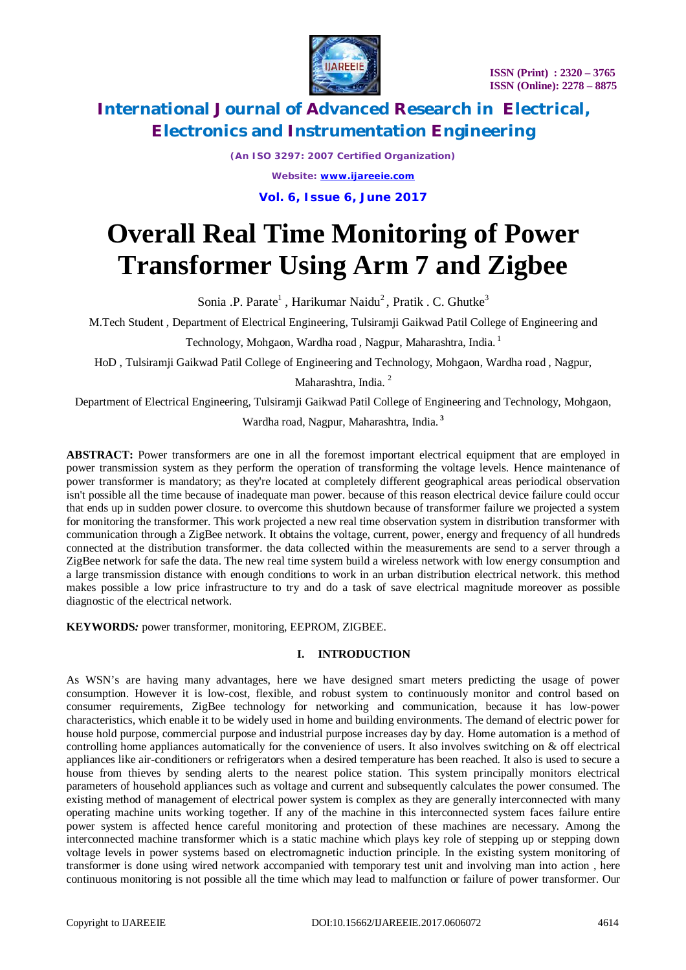

*(An ISO 3297: 2007 Certified Organization) Website: [www.ijareeie.com](http://www.ijareeie.com)*

**Vol. 6, Issue 6, June 2017**

# **Overall Real Time Monitoring of Power Transformer Using Arm 7 and Zigbee**

Sonia .P. Parate<sup>1</sup>, Harikumar Naidu<sup>2</sup>, Pratik . C. Ghutke<sup>3</sup>

M.Tech Student , Department of Electrical Engineering, Tulsiramji Gaikwad Patil College of Engineering and

Technology, Mohgaon, Wardha road , Nagpur, Maharashtra, India. <sup>1</sup>

HoD , Tulsiramji Gaikwad Patil College of Engineering and Technology, Mohgaon, Wardha road , Nagpur,

Maharashtra, India.<sup>2</sup>

Department of Electrical Engineering, Tulsiramji Gaikwad Patil College of Engineering and Technology, Mohgaon,

Wardha road, Nagpur, Maharashtra, India. **<sup>3</sup>**

**ABSTRACT:** Power transformers are one in all the foremost important electrical equipment that are employed in power transmission system as they perform the operation of transforming the voltage levels. Hence maintenance of power transformer is mandatory; as they're located at completely different geographical areas periodical observation isn't possible all the time because of inadequate man power. because of this reason electrical device failure could occur that ends up in sudden power closure. to overcome this shutdown because of transformer failure we projected a system for monitoring the transformer. This work projected a new real time observation system in distribution transformer with communication through a ZigBee network. It obtains the voltage, current, power, energy and frequency of all hundreds connected at the distribution transformer. the data collected within the measurements are send to a server through a ZigBee network for safe the data. The new real time system build a wireless network with low energy consumption and a large transmission distance with enough conditions to work in an urban distribution electrical network. this method makes possible a low price infrastructure to try and do a task of save electrical magnitude moreover as possible diagnostic of the electrical network.

**KEYWORDS***:* power transformer, monitoring, EEPROM, ZIGBEE.

### **I. INTRODUCTION**

As WSN's are having many advantages, here we have designed smart meters predicting the usage of power consumption. However it is low-cost, flexible, and robust system to continuously monitor and control based on consumer requirements, ZigBee technology for networking and communication, because it has low-power characteristics, which enable it to be widely used in home and building environments. The demand of electric power for house hold purpose, commercial purpose and industrial purpose increases day by day. Home automation is a method of controlling home appliances automatically for the convenience of users. It also involves switching on & off electrical appliances like air-conditioners or refrigerators when a desired temperature has been reached. It also is used to secure a house from thieves by sending alerts to the nearest police station. This system principally monitors electrical parameters of household appliances such as voltage and current and subsequently calculates the power consumed. The existing method of management of electrical power system is complex as they are generally interconnected with many operating machine units working together. If any of the machine in this interconnected system faces failure entire power system is affected hence careful monitoring and protection of these machines are necessary. Among the interconnected machine transformer which is a static machine which plays key role of stepping up or stepping down voltage levels in power systems based on electromagnetic induction principle. In the existing system monitoring of transformer is done using wired network accompanied with temporary test unit and involving man into action , here continuous monitoring is not possible all the time which may lead to malfunction or failure of power transformer. Our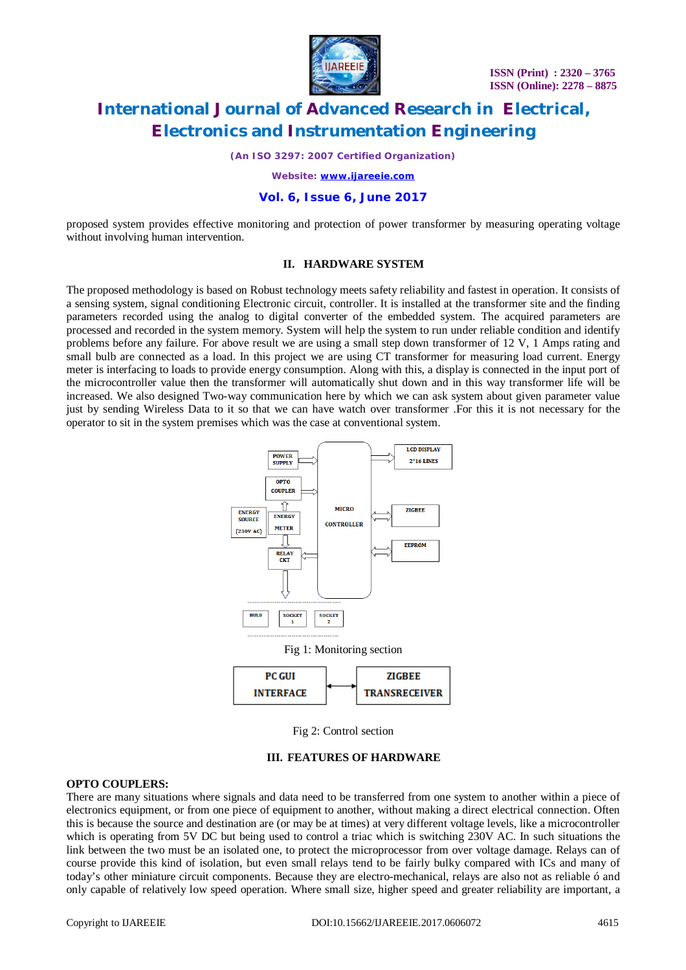

*(An ISO 3297: 2007 Certified Organization)*

*Website: [www.ijareeie.com](http://www.ijareeie.com)*

### **Vol. 6, Issue 6, June 2017**

proposed system provides effective monitoring and protection of power transformer by measuring operating voltage without involving human intervention.

## **II. HARDWARE SYSTEM**

The proposed methodology is based on Robust technology meets safety reliability and fastest in operation. It consists of a sensing system, signal conditioning Electronic circuit, controller. It is installed at the transformer site and the finding parameters recorded using the analog to digital converter of the embedded system. The acquired parameters are processed and recorded in the system memory. System will help the system to run under reliable condition and identify problems before any failure. For above result we are using a small step down transformer of 12 V, 1 Amps rating and small bulb are connected as a load. In this project we are using CT transformer for measuring load current. Energy meter is interfacing to loads to provide energy consumption. Along with this, a display is connected in the input port of the microcontroller value then the transformer will automatically shut down and in this way transformer life will be increased. We also designed Two-way communication here by which we can ask system about given parameter value just by sending Wireless Data to it so that we can have watch over transformer .For this it is not necessary for the operator to sit in the system premises which was the case at conventional system.



Fig 2: Control section

### **III. FEATURES OF HARDWARE**

#### **OPTO COUPLERS:**

There are many situations where signals and data need to be transferred from one system to another within a piece of electronics equipment, or from one piece of equipment to another, without making a direct electrical connection. Often this is because the source and destination are (or may be at times) at very different voltage levels, like a microcontroller which is operating from 5V DC but being used to control a triac which is switching 230V AC. In such situations the link between the two must be an isolated one, to protect the microprocessor from over voltage damage. Relays can of course provide this kind of isolation, but even small relays tend to be fairly bulky compared with ICs and many of today's other miniature circuit components. Because they are electro-mechanical, relays are also not as reliable ó and only capable of relatively low speed operation. Where small size, higher speed and greater reliability are important, a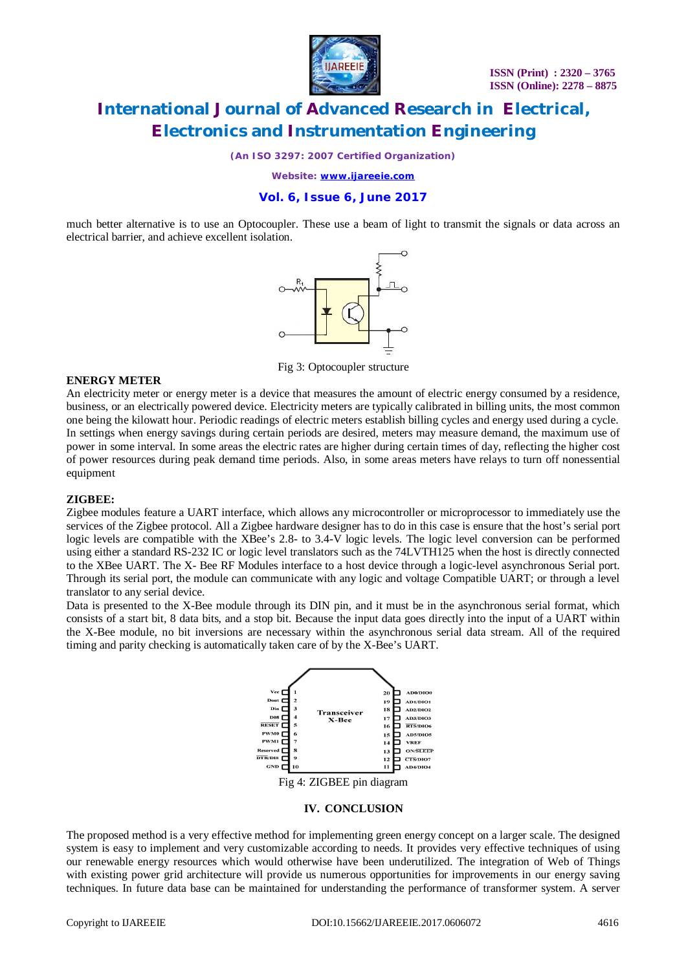

*(An ISO 3297: 2007 Certified Organization)*

*Website: [www.ijareeie.com](http://www.ijareeie.com)*

### **Vol. 6, Issue 6, June 2017**

much better alternative is to use an Optocoupler. These use a beam of light to transmit the signals or data across an electrical barrier, and achieve excellent isolation.



Fig 3: Optocoupler structure

#### **ENERGY METER**

An electricity meter or energy meter is a device that measures the amount of electric energy consumed by a residence, business, or an electrically powered device. Electricity meters are typically calibrated in billing units, the most common one being the kilowatt hour. Periodic readings of electric meters establish billing cycles and energy used during a cycle. In settings when energy savings during certain periods are desired, meters may measure demand, the maximum use of power in some interval. In some areas the electric rates are higher during certain times of day, reflecting the higher cost of power resources during peak demand time periods. Also, in some areas meters have relays to turn off nonessential equipment

### **ZIGBEE:**

Zigbee modules feature a UART interface, which allows any microcontroller or microprocessor to immediately use the services of the Zigbee protocol. All a Zigbee hardware designer has to do in this case is ensure that the host's serial port logic levels are compatible with the XBee's 2.8- to 3.4-V logic levels. The logic level conversion can be performed using either a standard RS-232 IC or logic level translators such as the 74LVTH125 when the host is directly connected to the XBee UART. The X- Bee RF Modules interface to a host device through a logic-level asynchronous Serial port. Through its serial port, the module can communicate with any logic and voltage Compatible UART; or through a level translator to any serial device.

Data is presented to the X-Bee module through its DIN pin, and it must be in the asynchronous serial format, which consists of a start bit, 8 data bits, and a stop bit. Because the input data goes directly into the input of a UART within the X-Bee module, no bit inversions are necessary within the asynchronous serial data stream. All of the required timing and parity checking is automatically taken care of by the X-Bee's UART.



#### **IV. CONCLUSION**

The proposed method is a very effective method for implementing green energy concept on a larger scale. The designed system is easy to implement and very customizable according to needs. It provides very effective techniques of using our renewable energy resources which would otherwise have been underutilized. The integration of Web of Things with existing power grid architecture will provide us numerous opportunities for improvements in our energy saving techniques. In future data base can be maintained for understanding the performance of transformer system. A server